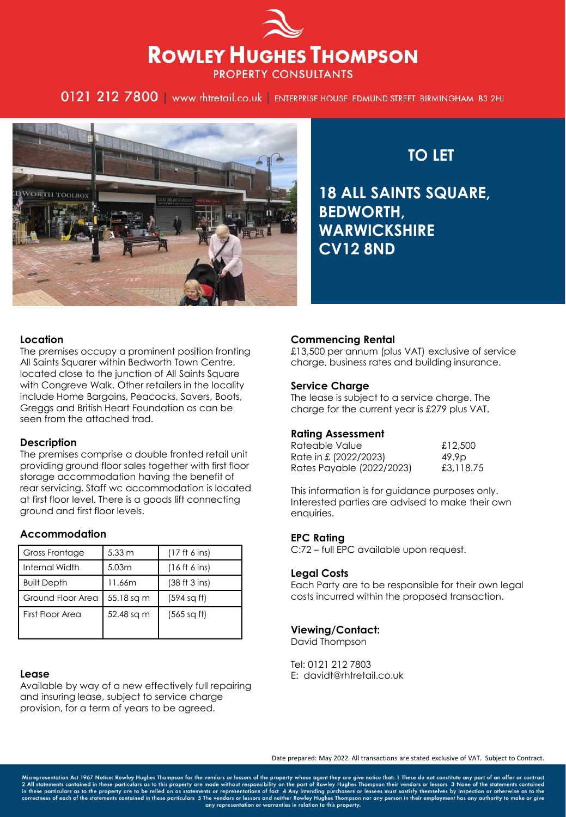# **ROWLEY HUGHES THOMPSON PROPERTY CONSULTANTS**

0121 212 7800 | www.rhtretail.co.uk | ENTERPRISE HOUSE EDMUND STREET BIRMINGHAM B3 2HJ



**TO LET** 

**18 ALL SAINTS SQUARE, BEDWORTH, WARWICKSHIRE CV12 8ND**

## **Location**

The premises occupy a prominent position fronting All Saints Squarer within Bedworth Town Centre, located close to the junction of All Saints Square with Congreve Walk. Other retailers in the locality include Home Bargains, Peacocks, Savers, Boots, Greggs and British Heart Foundation as can be seen from the attached trad.

### **Description**

The premises comprise a double fronted retail unit providing ground floor sales together with first floor storage accommodation having the benefit of rear servicing. Staff wc accommodation is located at first floor level. There is a goods lift connecting ground and first floor levels.

# **Accommodation**

| <b>Gross Frontage</b> | $5.33 \text{ m}$ | (17 ft 6 ins) |
|-----------------------|------------------|---------------|
| Internal Width        | 5.03m            | (16 ft 6 ins) |
| <b>Built Depth</b>    | 11.66m           | (38 ft 3 ins) |
| Ground Floor Area     | 55.18 sq m       | (594 sq ft)   |
| First Floor Area      | 52.48 sq m       | (565 sqft)    |

### **Lease**

Available by way of a new effectively full repairing and insuring lease, subject to service charge provision, for a term of years to be agreed.

# **Commencing Rental**

£13,500 per annum (plus VAT) exclusive of service charge, business rates and building insurance.

## **Service Charge**

The lease is subject to a service charge. The charge for the current year is £279 plus VAT.

### **Rating Assessment**

| Rateable Value            | £12,500           |
|---------------------------|-------------------|
| Rate in £ (2022/2023)     | 49.9 <sub>D</sub> |
| Rates Payable (2022/2023) | £3,118.75         |

This information is for guidance purposes only. Interested parties are advised to make their own enquiries.

# **EPC Rating**

C:72 – full EPC available upon request.

### **Legal Costs**

Each Party are to be responsible for their own legal costs incurred within the proposed transaction.

# **Viewing/Contact:**

David Thompson

Tel: 0121 212 7803 E: davidt@rhtretail.co.uk

Date prepared: May 2022. All transactions are stated exclusive of VAT. Subject to Contract.

Misrepresentation Act 1967 Notice: Rowley Hughes Thompson for the vendors or lessors of the property whose agent they are give notice that: 1 These do not constitute any part of an offer or contract 2 All statements contai any representation or warranties in relation to this property.